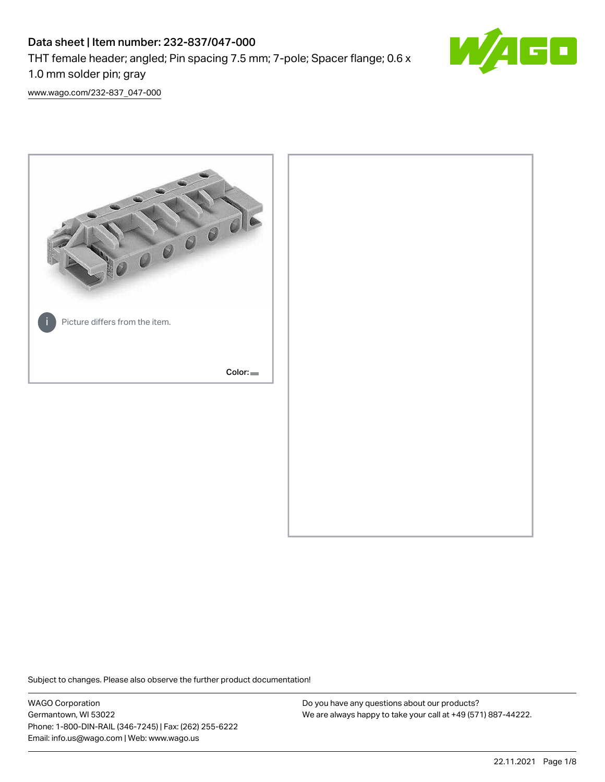# Data sheet | Item number: 232-837/047-000 THT female header; angled; Pin spacing 7.5 mm; 7-pole; Spacer flange; 0.6 x 1.0 mm solder pin; gray



[www.wago.com/232-837\\_047-000](http://www.wago.com/232-837_047-000)



Subject to changes. Please also observe the further product documentation!

WAGO Corporation Germantown, WI 53022 Phone: 1-800-DIN-RAIL (346-7245) | Fax: (262) 255-6222 Email: info.us@wago.com | Web: www.wago.us

Do you have any questions about our products? We are always happy to take your call at +49 (571) 887-44222.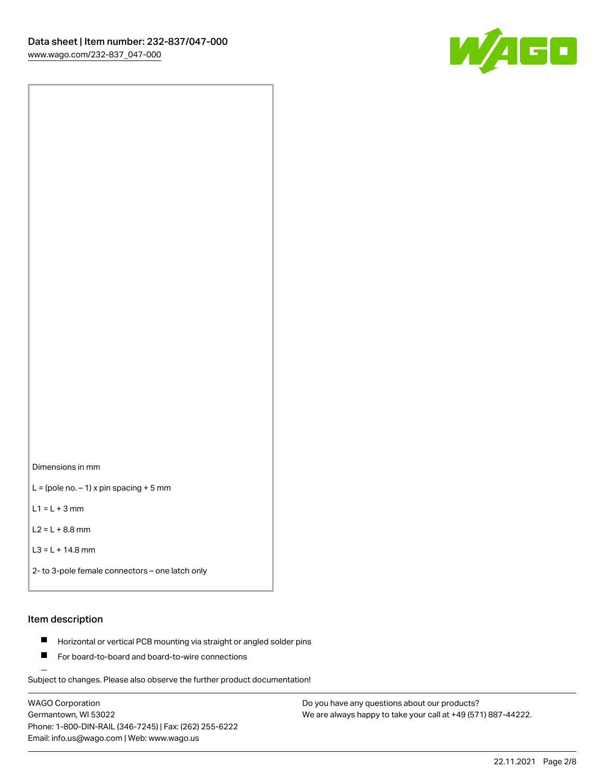

Dimensions in mm

 $L =$  (pole no.  $-1$ ) x pin spacing + 5 mm

 $L1 = L + 3$  mm

 $L2 = L + 8.8$  mm

```
L3 = L + 14.8 mm
```

```
2- to 3-pole female connectors – one latch only
```
## Item description

- **Horizontal or vertical PCB mounting via straight or angled solder pins**
- For board-to-board and board-to-wire connections

Subject to changes. Please also observe the further product documentation!

WAGO Corporation Germantown, WI 53022 Phone: 1-800-DIN-RAIL (346-7245) | Fax: (262) 255-6222 Email: info.us@wago.com | Web: www.wago.us

Do you have any questions about our products? We are always happy to take your call at +49 (571) 887-44222.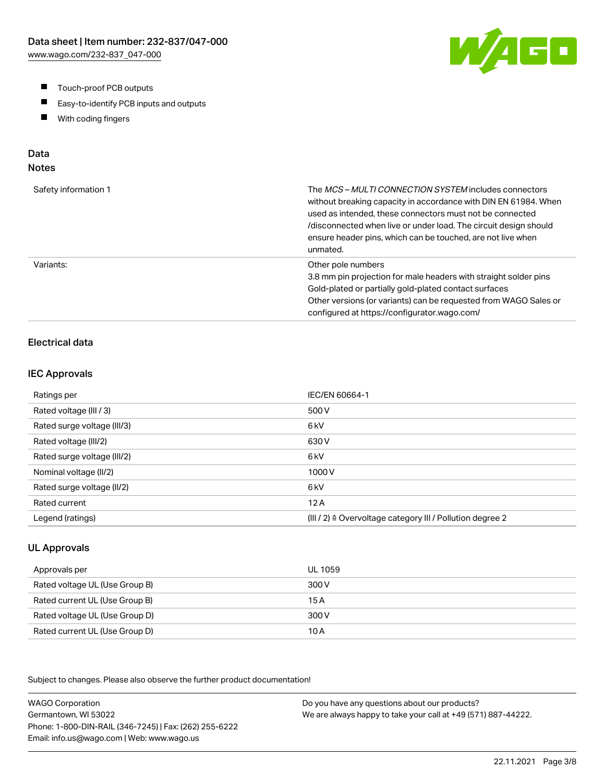- $\blacksquare$ Touch-proof PCB outputs
- $\blacksquare$ Easy-to-identify PCB inputs and outputs
- With coding fingers  $\blacksquare$

# Data

## Notes

| Safety information 1 | The <i>MCS – MULTI CONNECTION SYSTEM</i> includes connectors<br>without breaking capacity in accordance with DIN EN 61984. When<br>used as intended, these connectors must not be connected<br>/disconnected when live or under load. The circuit design should<br>ensure header pins, which can be touched, are not live when<br>unmated. |
|----------------------|--------------------------------------------------------------------------------------------------------------------------------------------------------------------------------------------------------------------------------------------------------------------------------------------------------------------------------------------|
| Variants:            | Other pole numbers<br>3.8 mm pin projection for male headers with straight solder pins<br>Gold-plated or partially gold-plated contact surfaces<br>Other versions (or variants) can be requested from WAGO Sales or<br>configured at https://configurator.wago.com/                                                                        |

## Electrical data

#### IEC Approvals

| Ratings per                 | IEC/EN 60664-1                                                       |
|-----------------------------|----------------------------------------------------------------------|
| Rated voltage (III / 3)     | 500 V                                                                |
| Rated surge voltage (III/3) | 6 <sub>kV</sub>                                                      |
| Rated voltage (III/2)       | 630 V                                                                |
| Rated surge voltage (III/2) | 6 <sub>k</sub> V                                                     |
| Nominal voltage (II/2)      | 1000V                                                                |
| Rated surge voltage (II/2)  | 6 <sub>k</sub> V                                                     |
| Rated current               | 12A                                                                  |
| Legend (ratings)            | (III / 2) $\triangleq$ Overvoltage category III / Pollution degree 2 |

#### UL Approvals

| Approvals per                  | UL 1059 |
|--------------------------------|---------|
| Rated voltage UL (Use Group B) | 300 V   |
| Rated current UL (Use Group B) | 15 A    |
| Rated voltage UL (Use Group D) | 300 V   |
| Rated current UL (Use Group D) | 10 A    |

Subject to changes. Please also observe the further product documentation!

WAGO Corporation Germantown, WI 53022 Phone: 1-800-DIN-RAIL (346-7245) | Fax: (262) 255-6222 Email: info.us@wago.com | Web: www.wago.us Do you have any questions about our products? We are always happy to take your call at +49 (571) 887-44222.

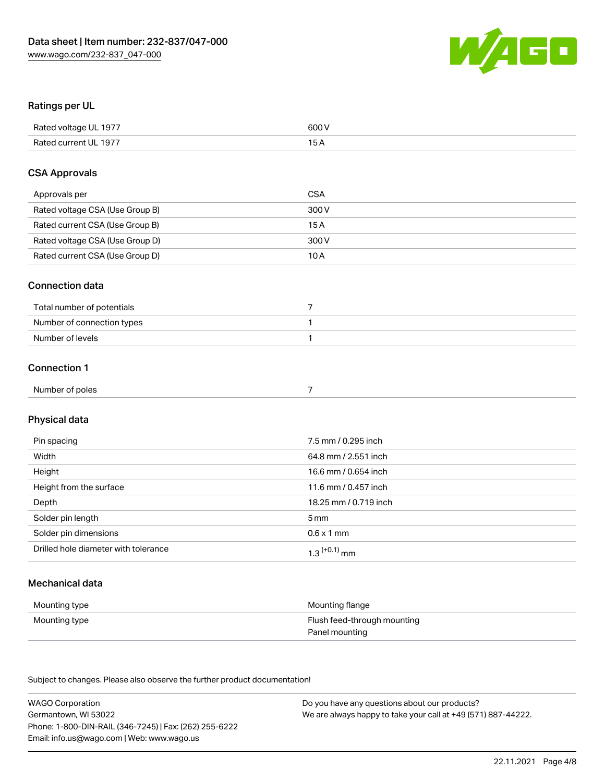

#### Ratings per UL

| Rated voltage UL 1977 | 600 V |
|-----------------------|-------|
| Rated current UL 1977 |       |

#### CSA Approvals

| Approvals per                   | CSA   |
|---------------------------------|-------|
| Rated voltage CSA (Use Group B) | 300 V |
| Rated current CSA (Use Group B) | 15 A  |
| Rated voltage CSA (Use Group D) | 300 V |
| Rated current CSA (Use Group D) | 10 A  |

#### Connection data

| Total number of potentials |  |
|----------------------------|--|
| Number of connection types |  |
| Number of levels           |  |

## Connection 1

| Numbe.<br>$\sim$ $\sim$<br>er poles<br>.<br>. |  |
|-----------------------------------------------|--|
|                                               |  |

## Physical data

| Pin spacing                          | 7.5 mm / 0.295 inch   |
|--------------------------------------|-----------------------|
| Width                                | 64.8 mm / 2.551 inch  |
| Height                               | 16.6 mm / 0.654 inch  |
| Height from the surface              | 11.6 mm / 0.457 inch  |
| Depth                                | 18.25 mm / 0.719 inch |
| Solder pin length                    | 5 mm                  |
| Solder pin dimensions                | $0.6 \times 1$ mm     |
| Drilled hole diameter with tolerance | $1.3$ $(+0.1)$ mm     |

## Mechanical data

| Mounting type | Mounting flange             |
|---------------|-----------------------------|
| Mounting type | Flush feed-through mounting |
|               | Panel mounting              |

Subject to changes. Please also observe the further product documentation!

| <b>WAGO Corporation</b>                                | Do you have any questions about our products?                 |
|--------------------------------------------------------|---------------------------------------------------------------|
| Germantown, WI 53022                                   | We are always happy to take your call at +49 (571) 887-44222. |
| Phone: 1-800-DIN-RAIL (346-7245)   Fax: (262) 255-6222 |                                                               |
| Email: info.us@wago.com   Web: www.wago.us             |                                                               |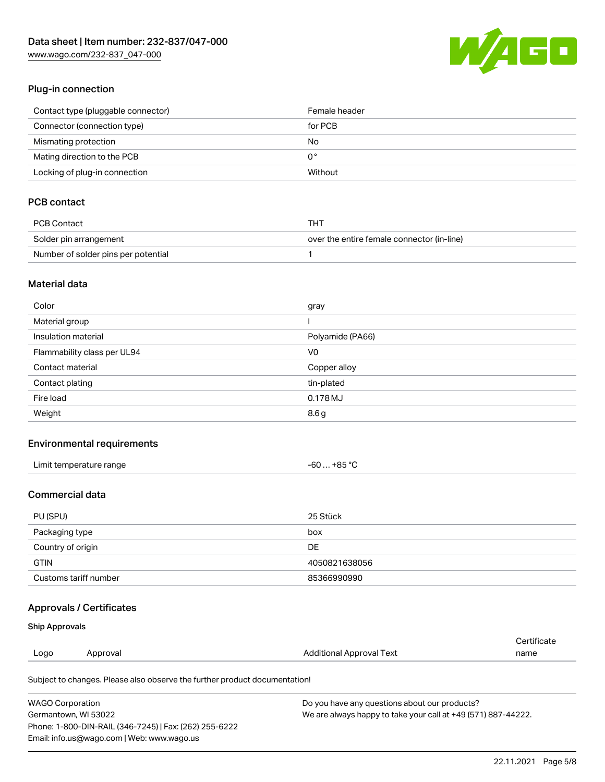[www.wago.com/232-837\\_047-000](http://www.wago.com/232-837_047-000)



#### Plug-in connection

| Contact type (pluggable connector) | Female header |
|------------------------------------|---------------|
| Connector (connection type)        | for PCB       |
| Mismating protection               | No            |
| Mating direction to the PCB        | 0°            |
| Locking of plug-in connection      | Without       |

## PCB contact

| PCB Contact                         | THT                                        |
|-------------------------------------|--------------------------------------------|
| Solder pin arrangement              | over the entire female connector (in-line) |
| Number of solder pins per potential |                                            |

#### Material data

| Color                       | gray             |
|-----------------------------|------------------|
| Material group              |                  |
| Insulation material         | Polyamide (PA66) |
| Flammability class per UL94 | V <sub>0</sub>   |
| Contact material            | Copper alloy     |
| Contact plating             | tin-plated       |
| Fire load                   | 0.178MJ          |
| Weight                      | 8.6g             |

#### Environmental requirements

| Limit temperature range | -60 … +85 °C |
|-------------------------|--------------|
|-------------------------|--------------|

### Commercial data

| PU (SPU)              | 25 Stück      |
|-----------------------|---------------|
| Packaging type        | box           |
| Country of origin     | DE            |
| <b>GTIN</b>           | 4050821638056 |
| Customs tariff number | 85366990990   |

### Approvals / Certificates

#### Ship Approvals

| Logo | Approval | <b>Additional Approval Text</b> | name                  |
|------|----------|---------------------------------|-----------------------|
|      |          |                                 | ' <i>∶</i> ertificate |

Subject to changes. Please also observe the further product documentation!

| <b>WAGO Corporation</b>                                | Do you have any questions about our products?                 |
|--------------------------------------------------------|---------------------------------------------------------------|
| Germantown, WI 53022                                   | We are always happy to take your call at +49 (571) 887-44222. |
| Phone: 1-800-DIN-RAIL (346-7245)   Fax: (262) 255-6222 |                                                               |
| Email: info.us@wago.com   Web: www.wago.us             |                                                               |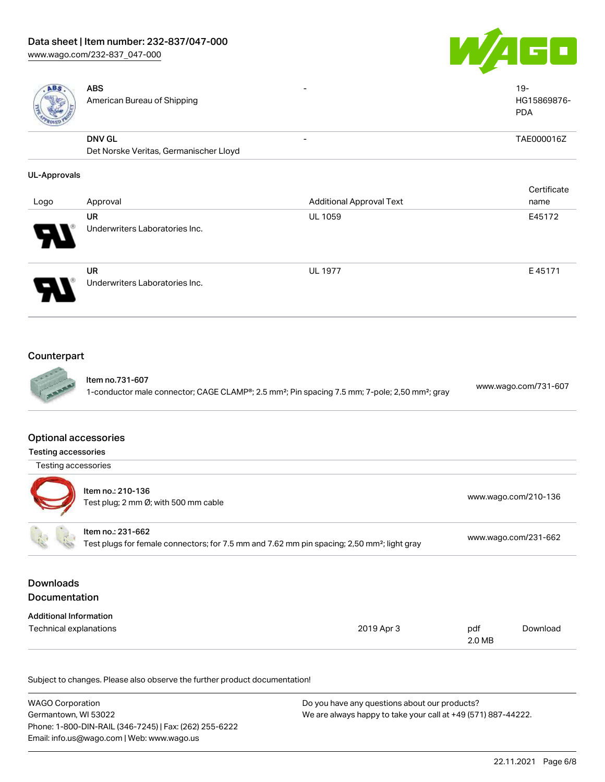# Data sheet | Item number: 232-837/047-000

[www.wago.com/232-837\\_047-000](http://www.wago.com/232-837_047-000)





| <b>ABS</b>                    | <b>ABS</b><br>American Bureau of Shipping                                                               |                                                                                                                        |               | $19 -$<br>HG15869876-<br><b>PDA</b> |
|-------------------------------|---------------------------------------------------------------------------------------------------------|------------------------------------------------------------------------------------------------------------------------|---------------|-------------------------------------|
|                               | <b>DNV GL</b>                                                                                           |                                                                                                                        |               | TAE000016Z                          |
|                               | Det Norske Veritas, Germanischer Lloyd                                                                  |                                                                                                                        |               |                                     |
| <b>UL-Approvals</b>           |                                                                                                         |                                                                                                                        |               |                                     |
|                               |                                                                                                         |                                                                                                                        |               | Certificate                         |
| Logo                          | Approval                                                                                                | <b>Additional Approval Text</b>                                                                                        |               | name                                |
|                               | <b>UR</b>                                                                                               | <b>UL 1059</b>                                                                                                         |               | E45172                              |
|                               | Underwriters Laboratories Inc.                                                                          |                                                                                                                        |               |                                     |
|                               | <b>UR</b>                                                                                               | <b>UL 1977</b>                                                                                                         |               | E45171                              |
|                               | Underwriters Laboratories Inc.                                                                          |                                                                                                                        |               |                                     |
| Counterpart                   | Item no.731-607                                                                                         | 1-conductor male connector; CAGE CLAMP®; 2.5 mm <sup>2</sup> ; Pin spacing 7.5 mm; 7-pole; 2,50 mm <sup>2</sup> ; gray |               | www.wago.com/731-607                |
| <b>Optional accessories</b>   |                                                                                                         |                                                                                                                        |               |                                     |
| <b>Testing accessories</b>    |                                                                                                         |                                                                                                                        |               |                                     |
| Testing accessories           |                                                                                                         |                                                                                                                        |               |                                     |
|                               | Item no.: 210-136<br>Test plug; 2 mm Ø; with 500 mm cable                                               |                                                                                                                        |               | www.wago.com/210-136                |
|                               | Item no.: 231-662                                                                                       |                                                                                                                        |               |                                     |
|                               | Test plugs for female connectors; for 7.5 mm and 7.62 mm pin spacing; 2,50 mm <sup>2</sup> ; light gray |                                                                                                                        |               | www.wago.com/231-662                |
| <b>Downloads</b>              |                                                                                                         |                                                                                                                        |               |                                     |
| Documentation                 |                                                                                                         |                                                                                                                        |               |                                     |
| <b>Additional Information</b> |                                                                                                         |                                                                                                                        |               |                                     |
| <b>Technical explanations</b> |                                                                                                         | 2019 Apr 3                                                                                                             | pdf<br>2.0 MB | Download                            |
|                               |                                                                                                         |                                                                                                                        |               |                                     |

Subject to changes. Please also observe the further product documentation!

| <b>WAGO Corporation</b>                                | Do you have any questions about our products?                 |
|--------------------------------------------------------|---------------------------------------------------------------|
| Germantown, WI 53022                                   | We are always happy to take your call at +49 (571) 887-44222. |
| Phone: 1-800-DIN-RAIL (346-7245)   Fax: (262) 255-6222 |                                                               |
| Email: info.us@wago.com   Web: www.wago.us             |                                                               |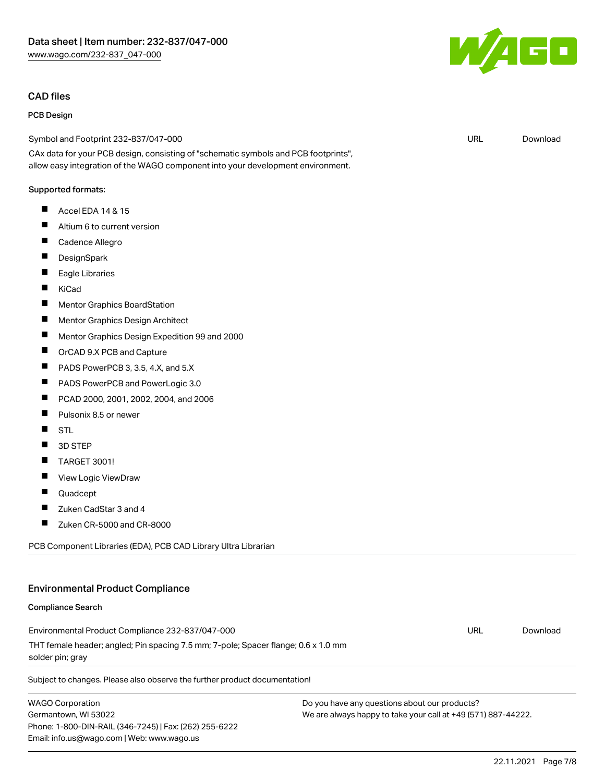#### CAD files

#### PCB Design

Symbol and Footprint 232-837/047-000

CAx data for your PCB design, consisting of "schematic symbols and PCB footprints", allow easy integration of the WAGO component into your development environment.

#### Supported formats:

- $\blacksquare$ Accel EDA 14 & 15
- $\blacksquare$ Altium 6 to current version
- П Cadence Allegro
- П **DesignSpark**
- $\blacksquare$ Eagle Libraries
- $\blacksquare$ KiCad
- $\blacksquare$ Mentor Graphics BoardStation
- $\blacksquare$ Mentor Graphics Design Architect
- П Mentor Graphics Design Expedition 99 and 2000
- П OrCAD 9.X PCB and Capture
- **The State** PADS PowerPCB 3, 3.5, 4.X, and 5.X
- $\blacksquare$ PADS PowerPCB and PowerLogic 3.0
- $\blacksquare$ PCAD 2000, 2001, 2002, 2004, and 2006
- П Pulsonix 8.5 or newer
- П STL
- П 3D STEP
- П TARGET 3001!
- $\blacksquare$ View Logic ViewDraw
- П Quadcept
- П Zuken CadStar 3 and 4
- $\blacksquare$ Zuken CR-5000 and CR-8000

PCB Component Libraries (EDA), PCB CAD Library Ultra Librarian

### Environmental Product Compliance

#### Compliance Search

Environmental Product Compliance 232-837/047-000 THT female header; angled; Pin spacing 7.5 mm; 7-pole; Spacer flange; 0.6 x 1.0 mm solder pin; gray

Subject to changes. Please also observe the further product documentation!

WAGO Corporation Germantown, WI 53022 Phone: 1-800-DIN-RAIL (346-7245) | Fax: (262) 255-6222 Email: info.us@wago.com | Web: www.wago.us

Do you have any questions about our products? We are always happy to take your call at +49 (571) 887-44222.



URL [Download](https://www.wago.com/global/d/UltraLibrarian_URLS_232-837_047-000)

URL [Download](https://www.wago.com/global/d/ComplianceLinkMediaContainer_232-837_047-000)